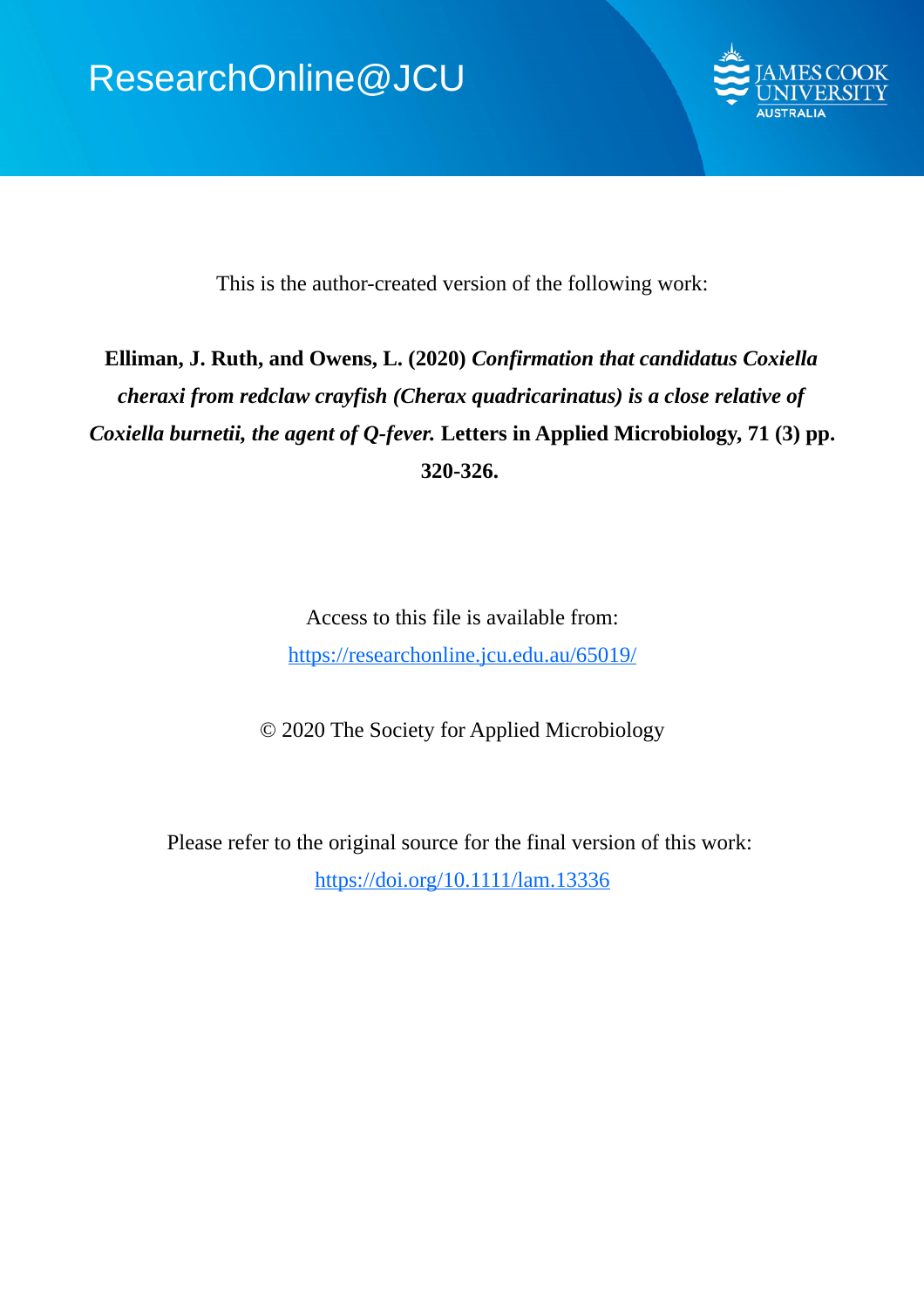

This is the author-created version of the following work:

# **Elliman, J. Ruth, and Owens, L. (2020)** *Confirmation that candidatus Coxiella cheraxi from redclaw crayfish (Cherax quadricarinatus) is a close relative of Coxiella burnetii, the agent of Q-fever.* **Letters in Applied Microbiology, 71 (3) pp. 320-326.**

Access to this file is available from: https://researchonline.jcu.edu.au/65019/

© 2020 The Society for Applied Microbiology

Please refer to the original source for the final version of this work: https://doi.org/10.1111/lam.13336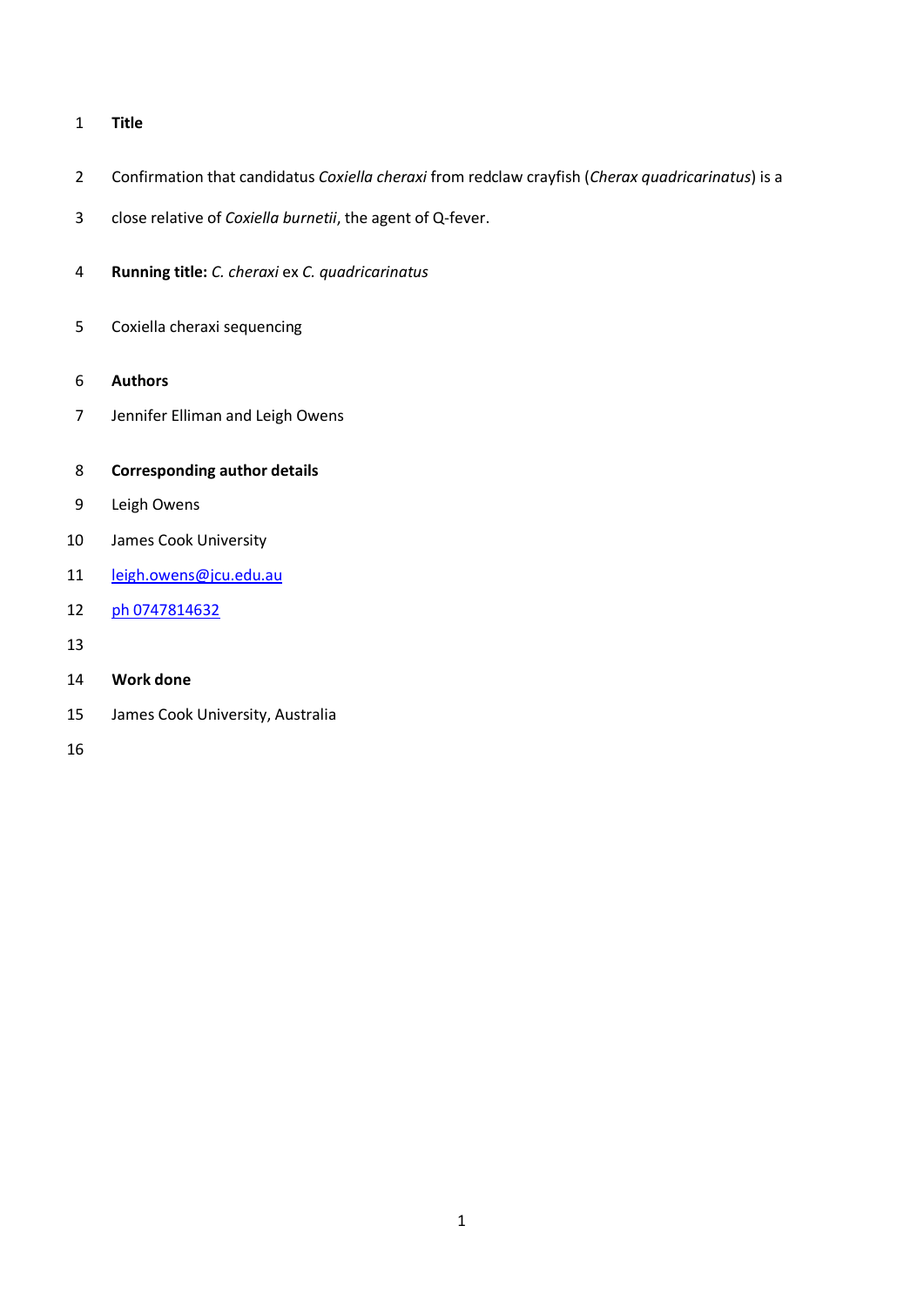## **Title**

- Confirmation that candidatus *Coxiella cheraxi* from redclaw crayfish (*Cherax quadricarinatus*) is a
- close relative of *Coxiella burnetii*, the agent of Q-fever.
- **Running title:** *C. cheraxi* ex *C. quadricarinatus*
- Coxiella cheraxi sequencing
- **Authors**
- Jennifer Elliman and Leigh Owens
- **Corresponding author details**
- Leigh Owens
- James Cook University
- [leigh.owens@jcu.edu.au](mailto:leigh.owens@jcu.edu.au)
- ph 0747814632
- 
- **Work done**
- James Cook University, Australia
-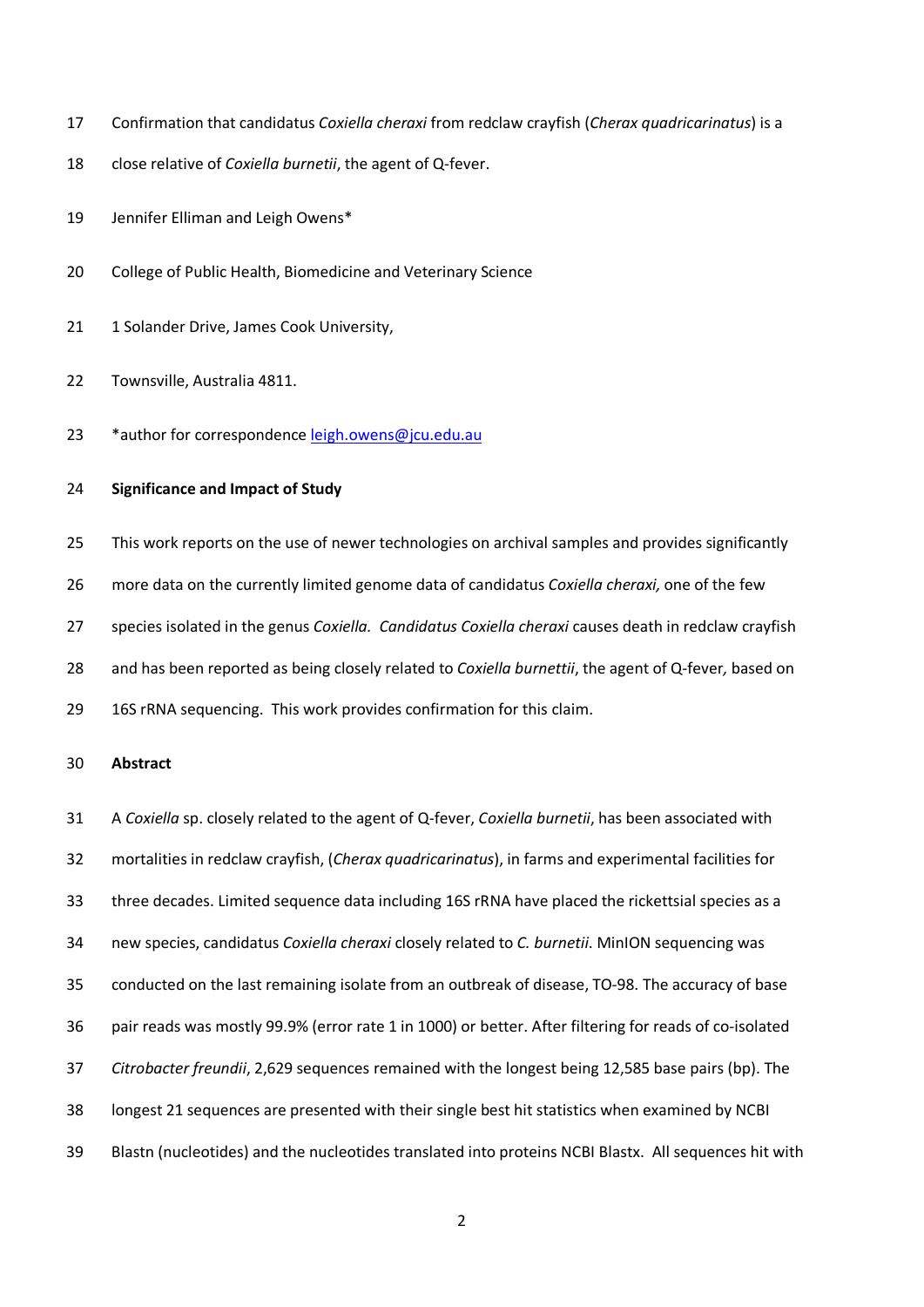- Confirmation that candidatus *Coxiella cheraxi* from redclaw crayfish (*Cherax quadricarinatus*) is a
- close relative of *Coxiella burnetii*, the agent of Q-fever.
- Jennifer Elliman and Leigh Owens\*
- College of Public Health, Biomedicine and Veterinary Science
- 21 1 Solander Drive, James Cook University,
- Townsville, Australia 4811.
- 23 \*author for correspondence [leigh.owens@jcu.edu.au](mailto:leigh.owens@jcu.edu.au)

## **Significance and Impact of Study**

 This work reports on the use of newer technologies on archival samples and provides significantly more data on the currently limited genome data of candidatus *Coxiella cheraxi,* one of the few species isolated in the genus *Coxiella. Candidatus Coxiella cheraxi* causes death in redclaw crayfish and has been reported as being closely related to *Coxiella burnettii*, the agent of Q-fever*,* based on 16S rRNA sequencing. This work provides confirmation for this claim.

#### **Abstract**

 A *Coxiella* sp. closely related to the agent of Q-fever, *Coxiella burnetii*, has been associated with mortalities in redclaw crayfish, (*Cherax quadricarinatus*), in farms and experimental facilities for three decades. Limited sequence data including 16S rRNA have placed the rickettsial species as a new species, candidatus *Coxiella cheraxi* closely related to *C. burnetii*. MinION sequencing was conducted on the last remaining isolate from an outbreak of disease, TO-98. The accuracy of base pair reads was mostly 99.9% (error rate 1 in 1000) or better. After filtering for reads of co-isolated *Citrobacter freundii*, 2,629 sequences remained with the longest being 12,585 base pairs (bp). The longest 21 sequences are presented with their single best hit statistics when examined by NCBI Blastn (nucleotides) and the nucleotides translated into proteins NCBI Blastx. All sequences hit with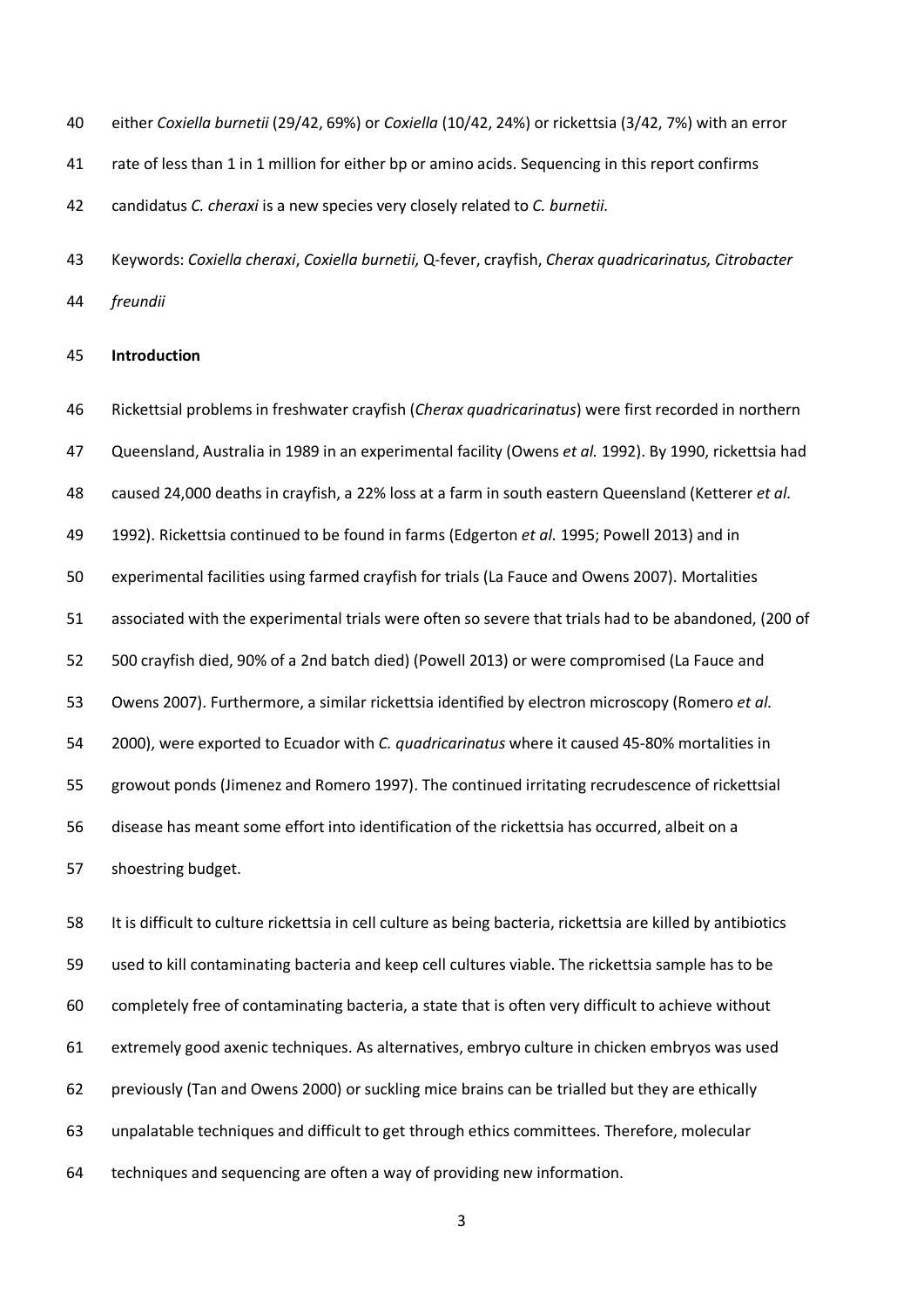either *Coxiella burnetii* (29/42, 69%) or *Coxiella* (10/42, 24%) or rickettsia (3/42, 7%) with an error

rate of less than 1 in 1 million for either bp or amino acids. Sequencing in this report confirms

candidatus *C. cheraxi* is a new species very closely related to *C. burnetii.*

 Keywords: *Coxiella cheraxi*, *Coxiella burnetii,* Q-fever, crayfish, *Cherax quadricarinatus, Citrobacter freundii*

#### **Introduction**

 Rickettsial problems in freshwater crayfish (*Cherax quadricarinatus*) were first recorded in northern Queensland, Australia in 1989 in an experimental facility (Owens *et al.* 1992). By 1990, rickettsia had caused 24,000 deaths in crayfish, a 22% loss at a farm in south eastern Queensland (Ketterer *et al.* 1992). Rickettsia continued to be found in farms (Edgerton *et al.* 1995; Powell 2013) and in experimental facilities using farmed crayfish for trials (La Fauce and Owens 2007). Mortalities associated with the experimental trials were often so severe that trials had to be abandoned, (200 of 500 crayfish died, 90% of a 2nd batch died) (Powell 2013) or were compromised (La Fauce and Owens 2007). Furthermore, a similar rickettsia identified by electron microscopy (Romero *et al.* 2000), were exported to Ecuador with *C. quadricarinatus* where it caused 45-80% mortalities in growout ponds (Jimenez and Romero 1997). The continued irritating recrudescence of rickettsial disease has meant some effort into identification of the rickettsia has occurred, albeit on a shoestring budget.

 It is difficult to culture rickettsia in cell culture as being bacteria, rickettsia are killed by antibiotics used to kill contaminating bacteria and keep cell cultures viable. The rickettsia sample has to be completely free of contaminating bacteria, a state that is often very difficult to achieve without extremely good axenic techniques. As alternatives, embryo culture in chicken embryos was used previously (Tan and Owens 2000) or suckling mice brains can be trialled but they are ethically unpalatable techniques and difficult to get through ethics committees. Therefore, molecular techniques and sequencing are often a way of providing new information.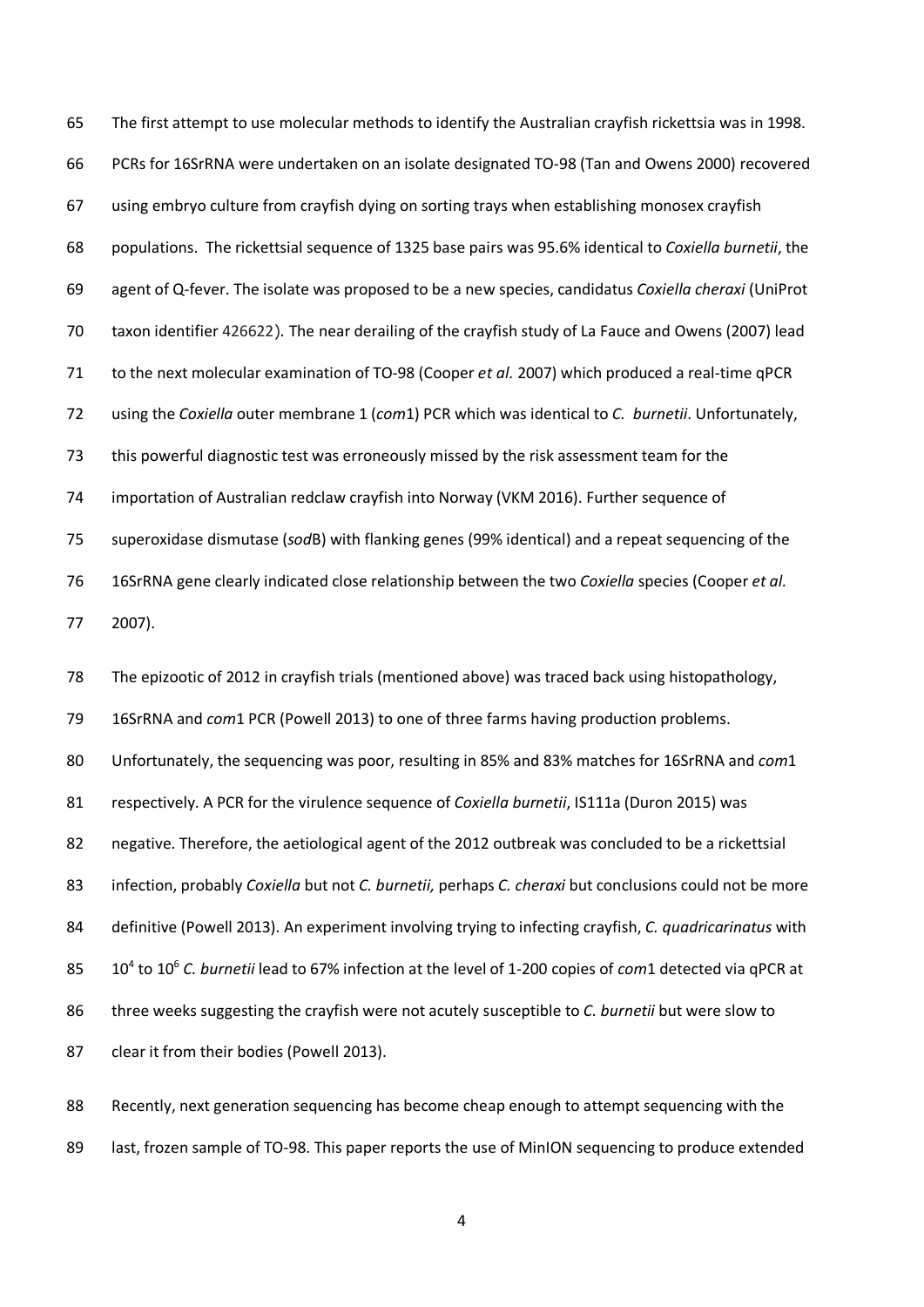The first attempt to use molecular methods to identify the Australian crayfish rickettsia was in 1998. PCRs for 16SrRNA were undertaken on an isolate designated TO-98 (Tan and Owens 2000) recovered using embryo culture from crayfish dying on sorting trays when establishing monosex crayfish populations. The rickettsial sequence of 1325 base pairs was 95.6% identical to *Coxiella burnetii*, the agent of Q-fever. The isolate was proposed to be a new species, candidatus *Coxiella cheraxi* (UniProt taxon identifier 426622)*.* The near derailing of the crayfish study of La Fauce and Owens (2007) lead to the next molecular examination of TO-98 (Cooper *et al.* 2007) which produced a real-time qPCR using the *Coxiella* outer membrane 1 (*com*1) PCR which was identical to *C. burnetii*. Unfortunately, this powerful diagnostic test was erroneously missed by the risk assessment team for the importation of Australian redclaw crayfish into Norway (VKM 2016). Further sequence of superoxidase dismutase (*sod*B) with flanking genes (99% identical) and a repeat sequencing of the 16SrRNA gene clearly indicated close relationship between the two *Coxiella* species (Cooper *et al.* 2007). The epizootic of 2012 in crayfish trials (mentioned above) was traced back using histopathology, 16SrRNA and *com*1 PCR (Powell 2013) to one of three farms having production problems. Unfortunately, the sequencing was poor, resulting in 85% and 83% matches for 16SrRNA and *com*1 respectively. A PCR for the virulence sequence of *Coxiella burnetii*, IS111a (Duron 2015) was negative. Therefore, the aetiological agent of the 2012 outbreak was concluded to be a rickettsial infection, probably *Coxiella* but not *C. burnetii,* perhaps *C. cheraxi* but conclusions could not be more definitive (Powell 2013). An experiment involving trying to infecting crayfish, *C. quadricarinatus* with to 106 *C. burnetii* lead to 67% infection at the level of 1-200 copies of *com*1 detected via qPCR at three weeks suggesting the crayfish were not acutely susceptible to *C. burnetii* but were slow to 87 clear it from their bodies (Powell 2013).

 Recently, next generation sequencing has become cheap enough to attempt sequencing with the 89 last, frozen sample of TO-98. This paper reports the use of MinION sequencing to produce extended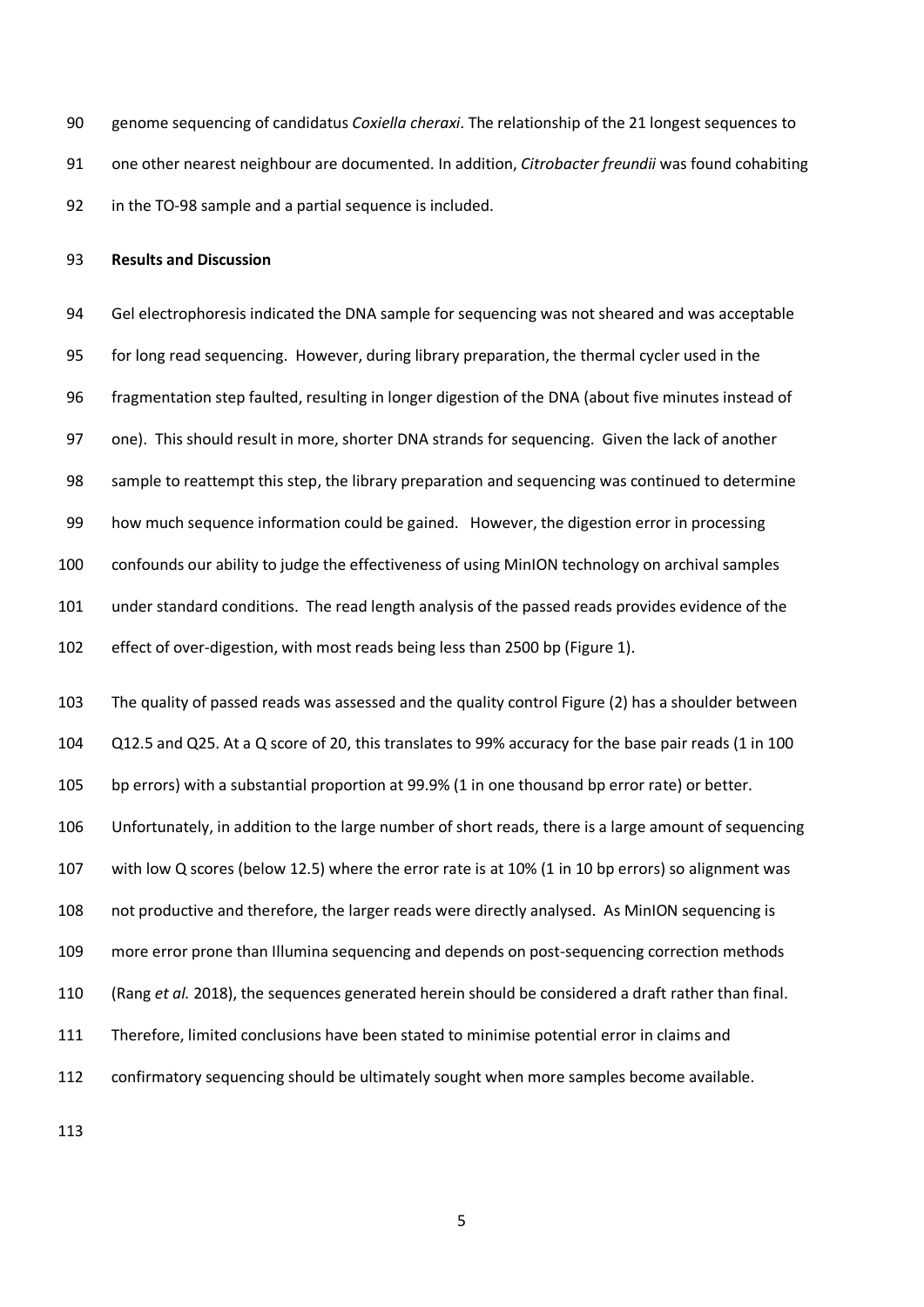genome sequencing of candidatus *Coxiella cheraxi*. The relationship of the 21 longest sequences to one other nearest neighbour are documented. In addition, *Citrobacter freundii* was found cohabiting in the TO-98 sample and a partial sequence is included.

**Results and Discussion**

 Gel electrophoresis indicated the DNA sample for sequencing was not sheared and was acceptable for long read sequencing. However, during library preparation, the thermal cycler used in the fragmentation step faulted, resulting in longer digestion of the DNA (about five minutes instead of one). This should result in more, shorter DNA strands for sequencing. Given the lack of another sample to reattempt this step, the library preparation and sequencing was continued to determine how much sequence information could be gained. However, the digestion error in processing confounds our ability to judge the effectiveness of using MinION technology on archival samples under standard conditions. The read length analysis of the passed reads provides evidence of the effect of over-digestion, with most reads being less than 2500 bp (Figure 1).

 The quality of passed reads was assessed and the quality control Figure (2) has a shoulder between Q12.5 and Q25. At a Q score of 20, this translates to 99% accuracy for the base pair reads (1 in 100

bp errors) with a substantial proportion at 99.9% (1 in one thousand bp error rate) or better.

Unfortunately, in addition to the large number of short reads, there is a large amount of sequencing

with low Q scores (below 12.5) where the error rate is at 10% (1 in 10 bp errors) so alignment was

not productive and therefore, the larger reads were directly analysed. As MinION sequencing is

more error prone than Illumina sequencing and depends on post-sequencing correction methods

(Rang *et al.* 2018), the sequences generated herein should be considered a draft rather than final.

Therefore, limited conclusions have been stated to minimise potential error in claims and

confirmatory sequencing should be ultimately sought when more samples become available.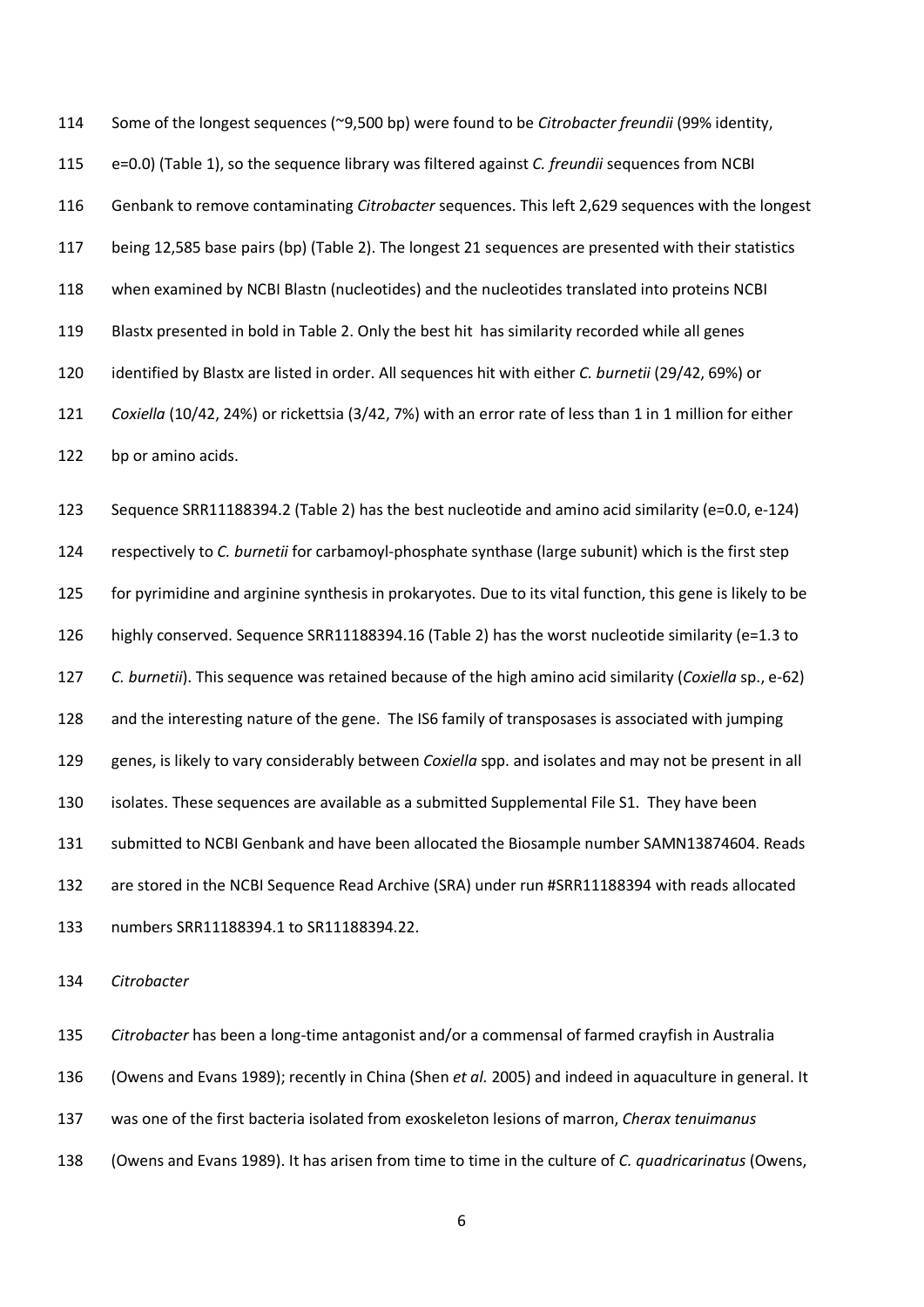Some of the longest sequences (~9,500 bp) were found to be *Citrobacter freundii* (99% identity, e=0.0) (Table 1), so the sequence library was filtered against *C. freundii* sequences from NCBI Genbank to remove contaminating *Citrobacter* sequences. This left 2,629 sequences with the longest being 12,585 base pairs (bp) (Table 2). The longest 21 sequences are presented with their statistics when examined by NCBI Blastn (nucleotides) and the nucleotides translated into proteins NCBI Blastx presented in bold in Table 2. Only the best hit has similarity recorded while all genes identified by Blastx are listed in order. All sequences hit with either *C. burnetii* (29/42, 69%) or *Coxiella* (10/42, 24%) or rickettsia (3/42, 7%) with an error rate of less than 1 in 1 million for either bp or amino acids.

 Sequence SRR11188394.2 (Table 2) has the best nucleotide and amino acid similarity (e=0.0, e-124) respectively to *C. burnetii* for carbamoyl-phosphate synthase (large subunit) which is the first step for pyrimidine and arginine synthesis in prokaryotes. Due to its vital function, this gene is likely to be highly conserved. Sequence SRR11188394.16 (Table 2) has the worst nucleotide similarity (e=1.3 to *C. burnetii*). This sequence was retained because of the high amino acid similarity (*Coxiella* sp., e-62) and the interesting nature of the gene. The IS6 family of transposases is associated with jumping genes, is likely to vary considerably between *Coxiella* spp. and isolates and may not be present in all isolates. These sequences are available as a submitted Supplemental File S1. They have been submitted to NCBI Genbank and have been allocated the Biosample number SAMN13874604. Reads are stored in the NCBI Sequence Read Archive (SRA) under run #SRR11188394 with reads allocated numbers SRR11188394.1 to SR11188394.22.

*Citrobacter*

*Citrobacter* has been a long-time antagonist and/or a commensal of farmed crayfish in Australia

(Owens and Evans 1989); recently in China (Shen *et al.* 2005) and indeed in aquaculture in general. It

was one of the first bacteria isolated from exoskeleton lesions of marron, *Cherax tenuimanus*

(Owens and Evans 1989). It has arisen from time to time in the culture of *C. quadricarinatus* (Owens,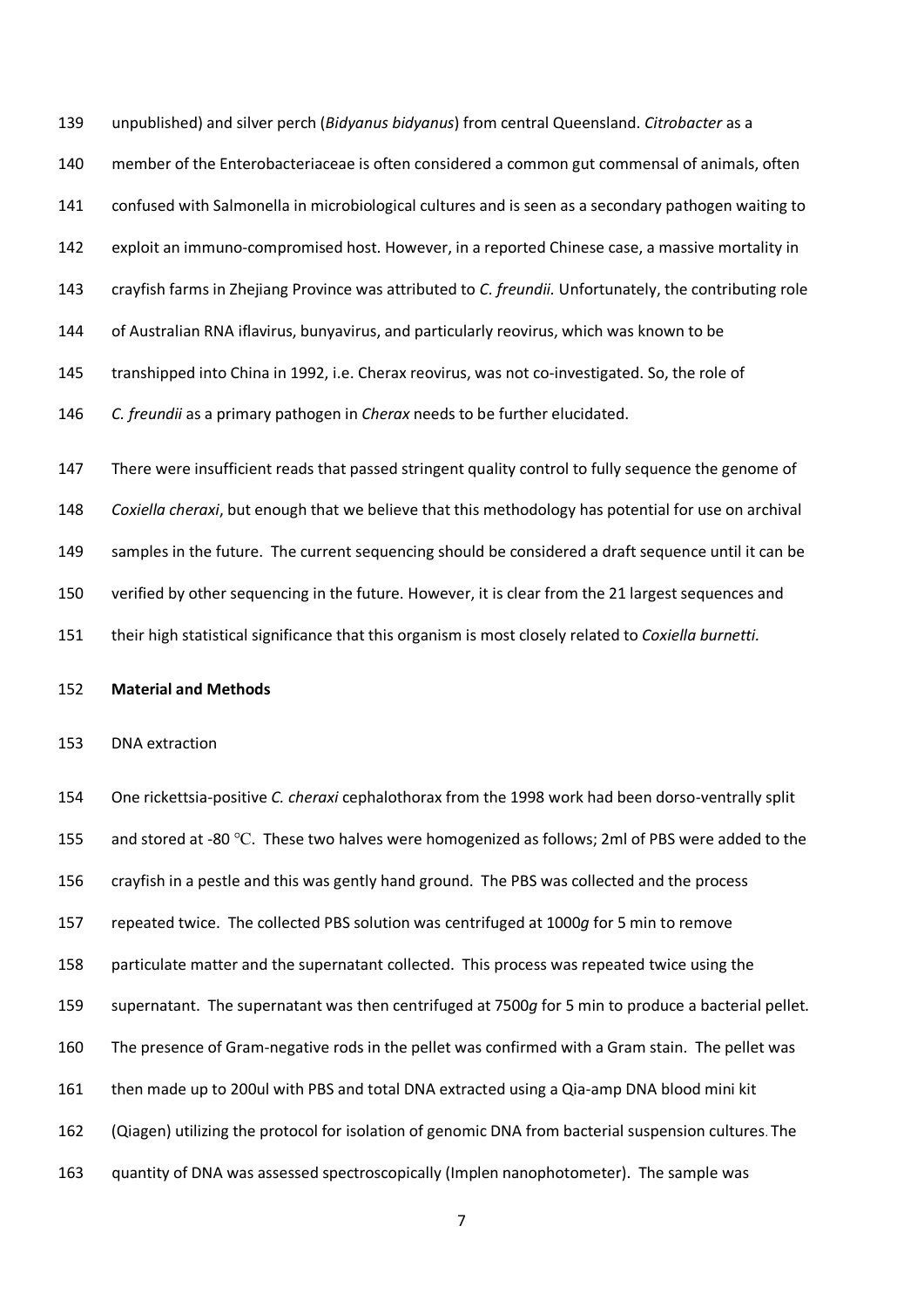unpublished) and silver perch (*Bidyanus bidyanus*) from central Queensland. *Citrobacter* as a

- member of the Enterobacteriaceae is often considered a common gut commensal of animals, often
- confused with Salmonella in microbiological cultures and is seen as a secondary pathogen waiting to
- exploit an immuno-compromised host. However, in a reported Chinese case, a massive mortality in
- crayfish farms in Zhejiang Province was attributed to *C. freundii.* Unfortunately, the contributing role
- of Australian RNA iflavirus, bunyavirus, and particularly reovirus, which was known to be
- transhipped into China in 1992, i.e. Cherax reovirus, was not co-investigated. So, the role of
- *C. freundii* as a primary pathogen in *Cherax* needs to be further elucidated.

 There were insufficient reads that passed stringent quality control to fully sequence the genome of *Coxiella cheraxi*, but enough that we believe that this methodology has potential for use on archival samples in the future. The current sequencing should be considered a draft sequence until it can be verified by other sequencing in the future. However, it is clear from the 21 largest sequences and their high statistical significance that this organism is most closely related to *Coxiella burnetti.*

### **Material and Methods**

#### DNA extraction

 One rickettsia-positive *C. cheraxi* cephalothorax from the 1998 work had been dorso-ventrally split and stored at -80 ℃. These two halves were homogenized as follows; 2ml of PBS were added to the crayfish in a pestle and this was gently hand ground. The PBS was collected and the process repeated twice. The collected PBS solution was centrifuged at 1000*g* for 5 min to remove particulate matter and the supernatant collected. This process was repeated twice using the supernatant. The supernatant was then centrifuged at 7500*g* for 5 min to produce a bacterial pellet. The presence of Gram-negative rods in the pellet was confirmed with a Gram stain. The pellet was then made up to 200ul with PBS and total DNA extracted using a Qia-amp DNA blood mini kit (Qiagen) utilizing the protocol for isolation of genomic DNA from bacterial suspension cultures. The quantity of DNA was assessed spectroscopically (Implen nanophotometer). The sample was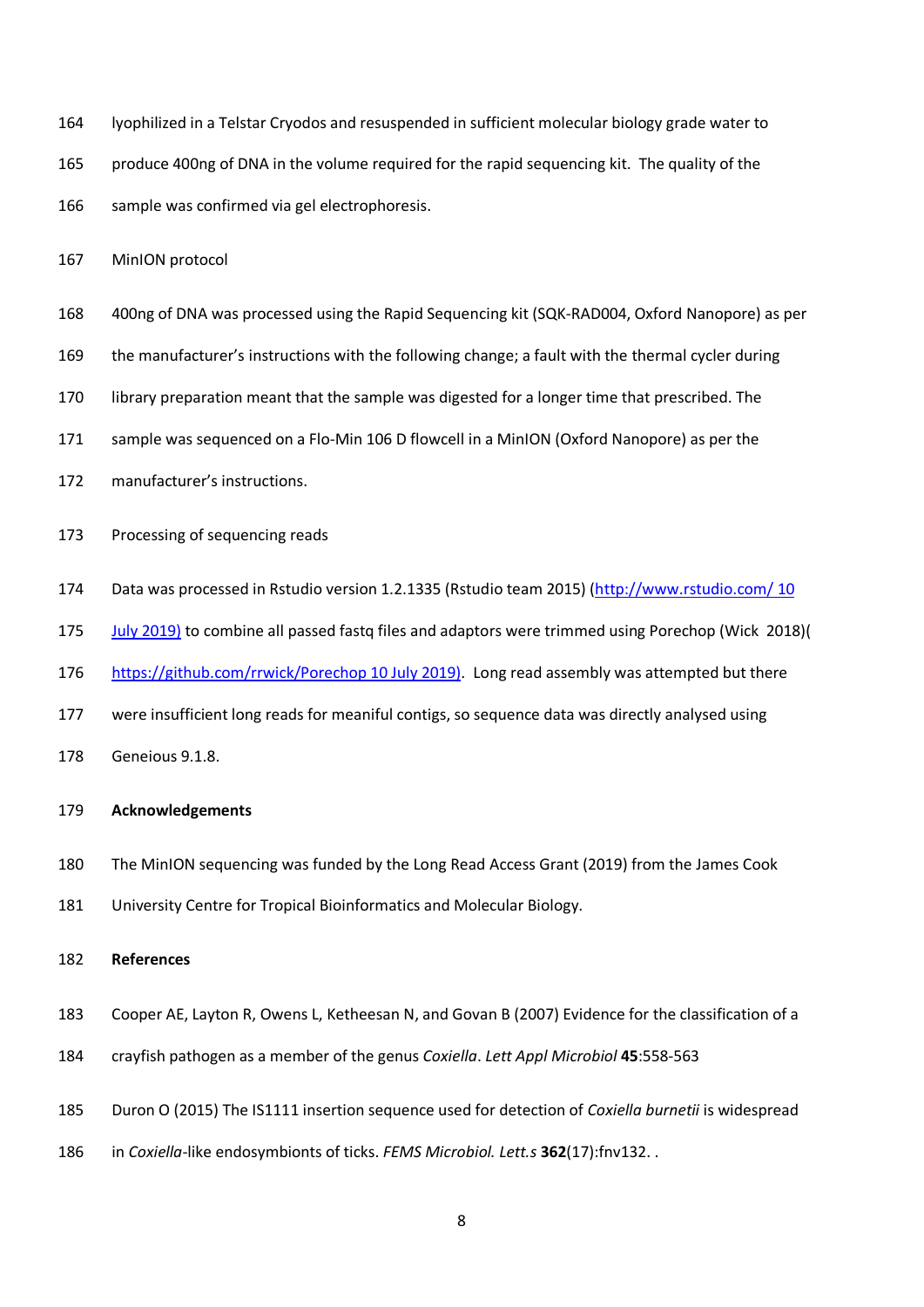lyophilized in a Telstar Cryodos and resuspended in sufficient molecular biology grade water to produce 400ng of DNA in the volume required for the rapid sequencing kit. The quality of the 166 sample was confirmed via gel electrophoresis.

MinION protocol

- 400ng of DNA was processed using the Rapid Sequencing kit (SQK-RAD004, Oxford Nanopore) as per
- the manufacturer's instructions with the following change; a fault with the thermal cycler during
- library preparation meant that the sample was digested for a longer time that prescribed. The
- sample was sequenced on a Flo-Min 106 D flowcell in a MinION (Oxford Nanopore) as per the
- manufacturer's instructions.
- Processing of sequencing reads
- Data was processed in Rstudio version 1.2.1335 (Rstudio team 2015) [\(http://www.rstudio.com/](http://www.rstudio.com/) 10
- July 2019) to combine all passed fastq files and adaptors were trimmed using Porechop (Wick 2018)(
- <https://github.com/rrwick/Porechop> 10 July 2019). Long read assembly was attempted but there
- were insufficient long reads for meaniful contigs, so sequence data was directly analysed using
- Geneious 9.1.8.

## **Acknowledgements**

- The MinION sequencing was funded by the Long Read Access Grant (2019) from the James Cook
- University Centre for Tropical Bioinformatics and Molecular Biology.

## **References**

- Cooper AE, Layton R, Owens L, Ketheesan N, and Govan B (2007) Evidence for the classification of a
- crayfish pathogen as a member of the genus *Coxiella*. *Lett Appl Microbiol* **45**:558-563
- [Duron O](https://www.ncbi.nlm.nih.gov/pubmed/?term=Duron%20O%5BAuthor%5D&cauthor=true&cauthor_uid=26269380) (2015) The IS1111 insertion sequence used for detection of *Coxiella burnetii* is widespread
- in *Coxiella*-like endosymbionts of ticks. *[FEMS Microbiol.](https://www.ncbi.nlm.nih.gov/pubmed/26269380) Lett.s* **362**(17):fnv132. .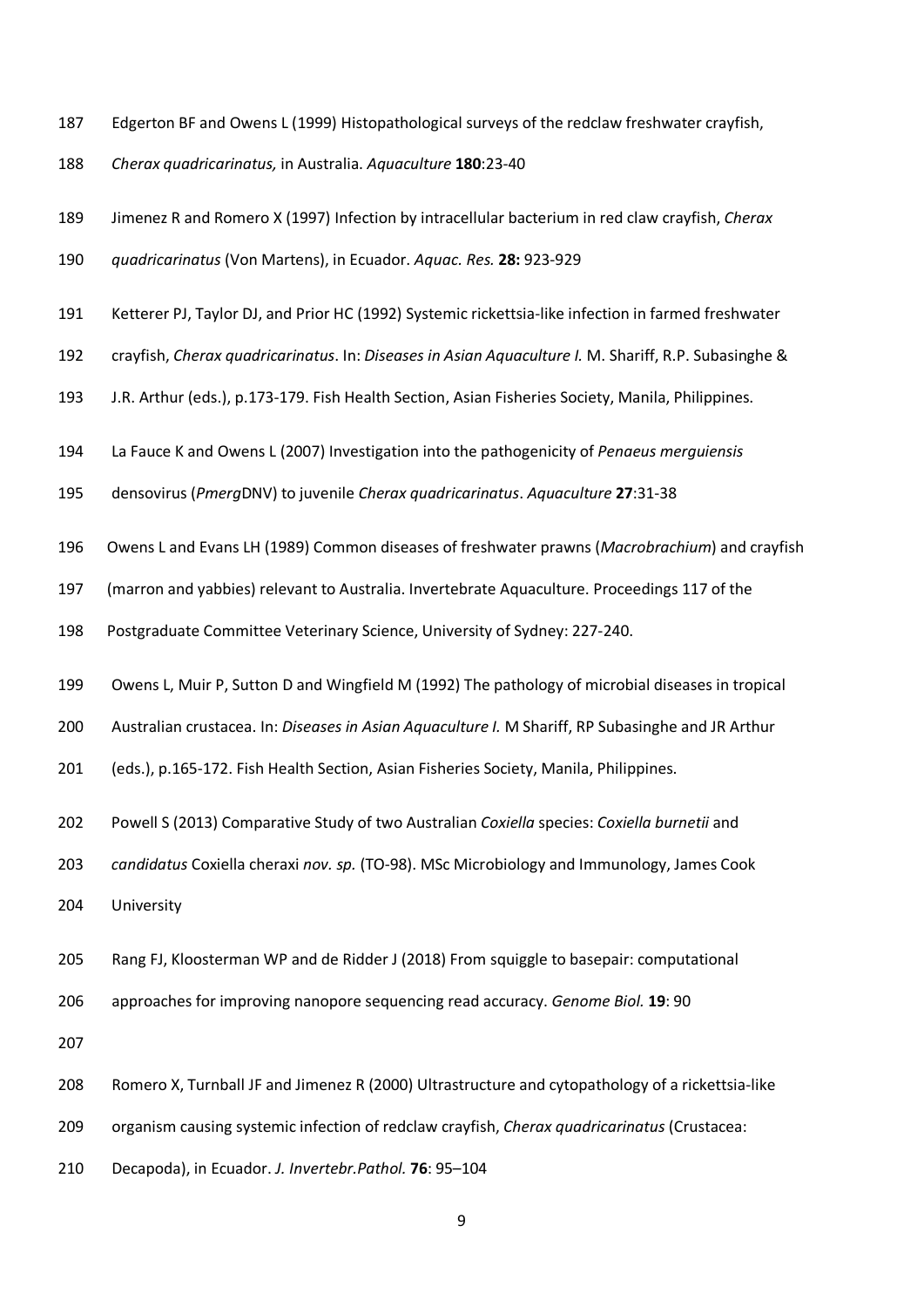- Edgerton BF and Owens L (1999) Histopathological surveys of the redclaw freshwater crayfish,
- *Cherax quadricarinatus,* in Australia. *Aquaculture* **180**:23-40
- Jimenez R and Romero X (1997) Infection by intracellular bacterium in red claw crayfish, *Cherax*
- *quadricarinatus* (Von Martens), in Ecuador. *Aquac. Res.* **28:** 923-929
- Ketterer PJ, Taylor DJ, and Prior HC (1992) Systemic rickettsia-like infection in farmed freshwater
- crayfish, *Cherax quadricarinatus*. In: *Diseases in Asian Aquaculture I.* M. Shariff, R.P. Subasinghe &
- J.R. Arthur (eds.), p.173-179. Fish Health Section, Asian Fisheries Society, Manila, Philippines.
- La Fauce K and Owens L (2007) Investigation into the pathogenicity of *Penaeus merguiensis*
- densovirus (*Pmerg*DNV) to juvenile *Cherax quadricarinatus*. *Aquaculture* **27**:31-38
- Owens L and Evans LH (1989) Common diseases of freshwater prawns (*Macrobrachium*) and crayfish
- (marron and yabbies) relevant to Australia. Invertebrate Aquaculture. Proceedings 117 of the
- Postgraduate Committee Veterinary Science, University of Sydney: 227-240.
- Owens L, Muir P, Sutton D and Wingfield M (1992) The pathology of microbial diseases in tropical
- Australian crustacea. In: *Diseases in Asian Aquaculture I.* M Shariff, RP Subasinghe and JR Arthur
- (eds.), p.165-172. Fish Health Section, Asian Fisheries Society, Manila, Philippines.
- Powell S (2013) Comparative Study of two Australian *Coxiella* species: *Coxiella burnetii* and
- *candidatus* Coxiella cheraxi *nov. sp.* (TO-98). MSc Microbiology and Immunology, James Cook
- University
- Rang FJ, Kloosterman WP and de Ridder J (2018) From squiggle to basepair: computational
- approaches for improving nanopore sequencing read accuracy. *Genome Biol.* **19**: 90

- Romero X, Turnball JF and Jimenez R (2000) Ultrastructure and cytopathology of a rickettsia-like
- organism causing systemic infection of redclaw crayfish, *Cherax quadricarinatus* (Crustacea:
- Decapoda), in Ecuador. *J. Invertebr.Pathol.* **76**: 95–104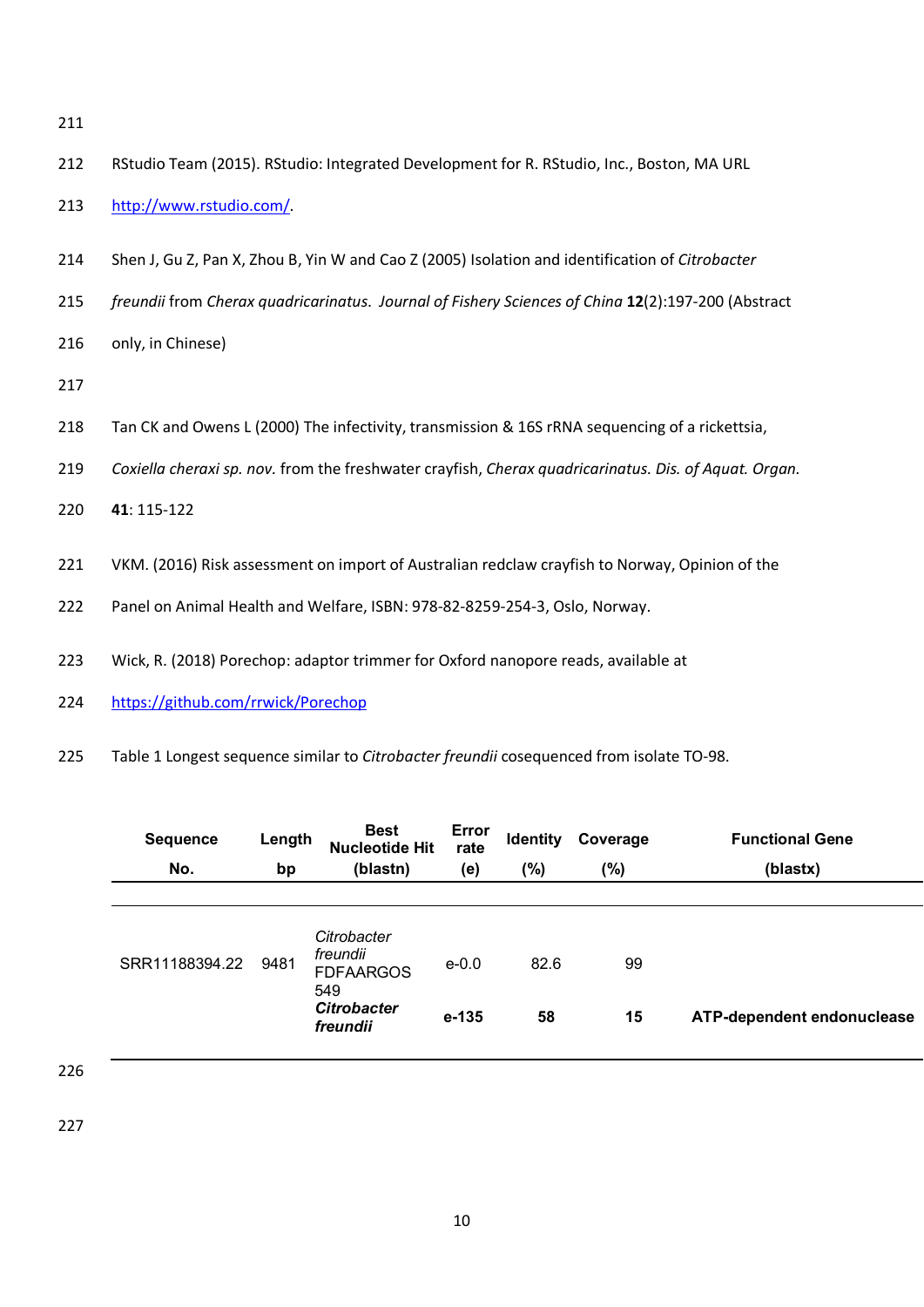- 
- RStudio Team (2015). RStudio: Integrated Development for R. RStudio, Inc., Boston, MA URL
- [http://www.rstudio.com/.](http://www.rstudio.com/)
- Shen J, Gu Z, Pan X, Zhou B, Yin W and Cao Z (2005) Isolation and identification of *Citrobacter*
- *freundii* from *Cherax quadricarinatus*. *Journal of Fishery Sciences of China* **12**(2):197-200 (Abstract
- only, in Chinese)
- 
- Tan CK and Owens L (2000) The infectivity, transmission & 16S rRNA sequencing of a rickettsia,
- *Coxiella cheraxi sp. nov.* from the freshwater crayfish, *Cherax quadricarinatus. Dis. of Aquat. Organ.*
- **41**: 115-122
- VKM. (2016) Risk assessment on import of Australian redclaw crayfish to Norway, Opinion of the
- Panel on Animal Health and Welfare, ISBN: 978-82-8259-254-3, Oslo, Norway.
- Wick, R. (2018) Porechop: adaptor trimmer for Oxford nanopore reads, available at
- <https://github.com/rrwick/Porechop>
- Table 1 Longest sequence similar to *Citrobacter freundii* cosequenced from isolate TO-98.

| <b>Sequence</b> | Length | <b>Best</b><br><b>Nucleotide Hit</b>               | Error<br>rate | <b>Identity</b> | Coverage | <b>Functional Gene</b>     |
|-----------------|--------|----------------------------------------------------|---------------|-----------------|----------|----------------------------|
| No.             | bp     | (blastn)                                           | (e)           | $(\%)$          | (%)      | (blastx)                   |
|                 |        |                                                    |               |                 |          |                            |
| SRR11188394.22  | 9481   | Citrobacter<br>freundii<br><b>FDFAARGOS</b><br>549 | $e - 0.0$     | 82.6            | 99       |                            |
|                 |        | <b>Citrobacter</b><br>freundii                     | $e - 135$     | 58              | 15       | ATP-dependent endonuclease |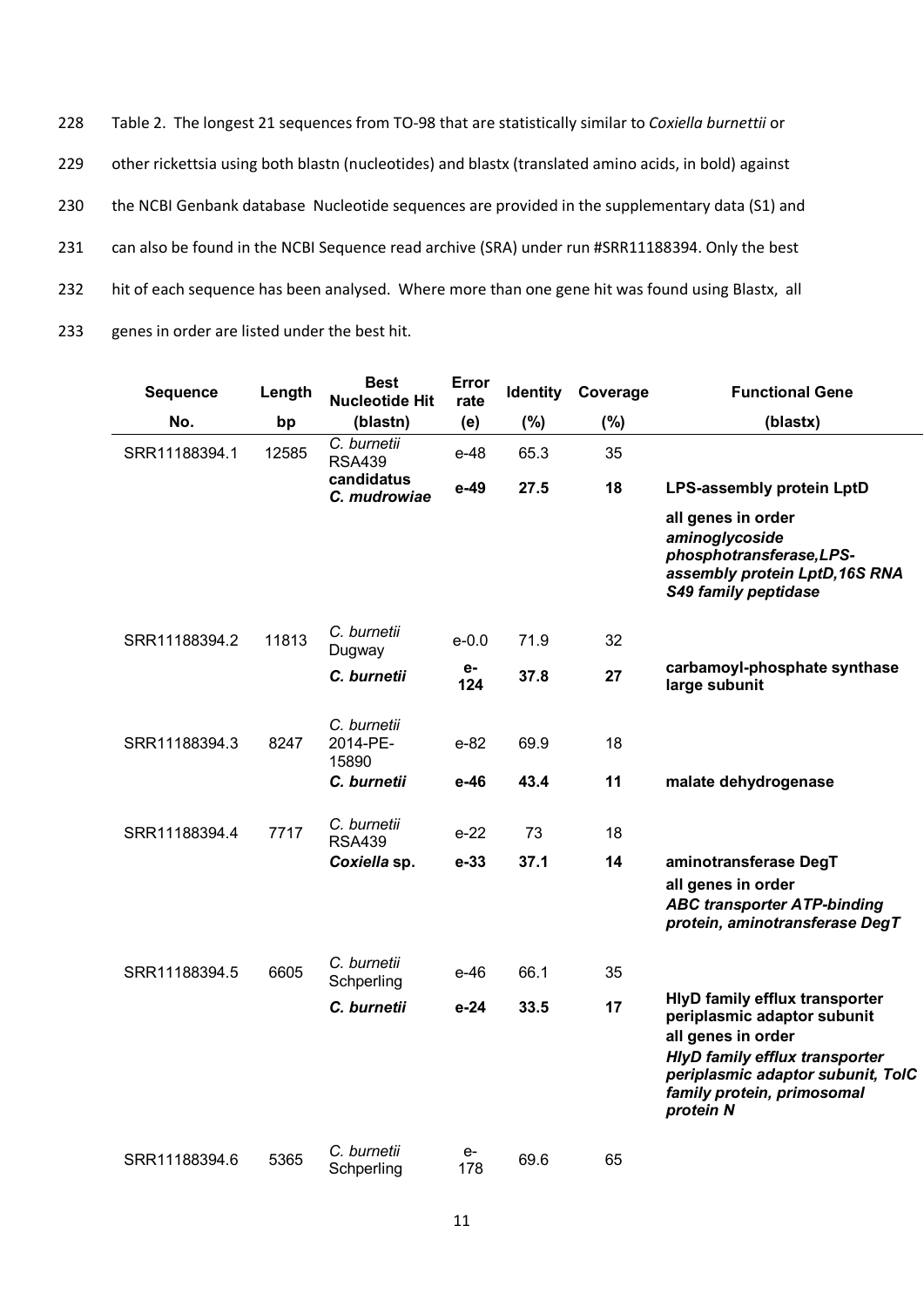Table 2. The longest 21 sequences from TO-98 that are statistically similar to *Coxiella burnettii* or 229 other rickettsia using both blastn (nucleotides) and blastx (translated amino acids, in bold) against the NCBI Genbank database Nucleotide sequences are provided in the supplementary data (S1) and can also be found in the NCBI Sequence read archive (SRA) under run #SRR11188394. Only the best 232 hit of each sequence has been analysed. Where more than one gene hit was found using Blastx, all genes in order are listed under the best hit.

| <b>Sequence</b> | Length | <b>Best</b><br><b>Nucleotide Hit</b> | Error<br>rate | <b>Identity</b> | Coverage | <b>Functional Gene</b>                                                                                                                                                                                              |
|-----------------|--------|--------------------------------------|---------------|-----------------|----------|---------------------------------------------------------------------------------------------------------------------------------------------------------------------------------------------------------------------|
| No.             | bp     | (blastn)                             | (e)           | (%)             | (%)      | (blastx)                                                                                                                                                                                                            |
| SRR11188394.1   | 12585  | C. burnetii<br><b>RSA439</b>         | e-48          | 65.3            | 35       |                                                                                                                                                                                                                     |
|                 |        | candidatus<br>C. mudrowiae           | $e-49$        | 27.5            | 18       | LPS-assembly protein LptD                                                                                                                                                                                           |
|                 |        |                                      |               |                 |          | all genes in order<br>aminoglycoside<br>phosphotransferase, LPS-<br>assembly protein LptD, 16S RNA<br><b>S49 family peptidase</b>                                                                                   |
| SRR11188394.2   | 11813  | C. burnetii<br>Dugway                | $e - 0.0$     | 71.9            | 32       |                                                                                                                                                                                                                     |
|                 |        | C. burnetii                          | е-<br>124     | 37.8            | 27       | carbamoyl-phosphate synthase<br>large subunit                                                                                                                                                                       |
| SRR11188394.3   | 8247   | C. burnetii<br>2014-PE-<br>15890     | $e-82$        | 69.9            | 18       |                                                                                                                                                                                                                     |
|                 |        | C. burnetii                          | e-46          | 43.4            | 11       | malate dehydrogenase                                                                                                                                                                                                |
| SRR11188394.4   | 7717   | C. burnetii<br><b>RSA439</b>         | $e-22$        | 73              | 18       |                                                                                                                                                                                                                     |
|                 |        | Coxiella sp.                         | $e-33$        | 37.1            | 14       | aminotransferase DegT<br>all genes in order<br><b>ABC transporter ATP-binding</b><br>protein, aminotransferase DegT                                                                                                 |
| SRR11188394.5   | 6605   | C. burnetii<br>Schperling            | e-46          | 66.1            | 35       |                                                                                                                                                                                                                     |
|                 |        | C. burnetii                          | $e-24$        | 33.5            | 17       | <b>HlyD family efflux transporter</b><br>periplasmic adaptor subunit<br>all genes in order<br><b>HlyD family efflux transporter</b><br>periplasmic adaptor subunit, TolC<br>family protein, primosomal<br>protein N |
| SRR11188394.6   | 5365   | C. burnetii<br>Schperling            | e-<br>178     | 69.6            | 65       |                                                                                                                                                                                                                     |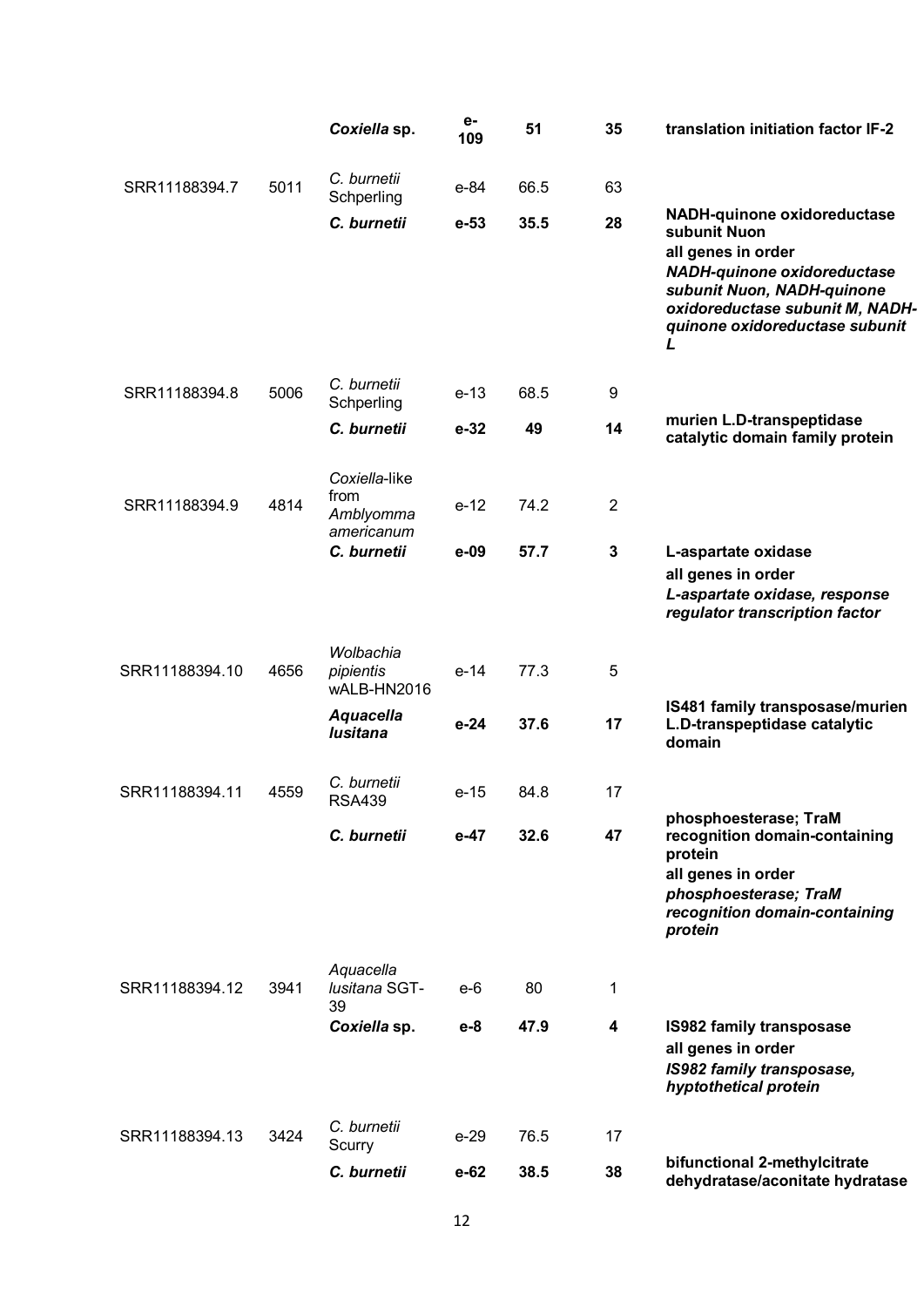|                |      | Coxiella sp.                          | е-<br>109 | 51   | 35             | translation initiation factor IF-2                                                                                                                                                                  |
|----------------|------|---------------------------------------|-----------|------|----------------|-----------------------------------------------------------------------------------------------------------------------------------------------------------------------------------------------------|
| SRR11188394.7  | 5011 | C. burnetii<br>Schperling             | e-84      | 66.5 | 63             |                                                                                                                                                                                                     |
|                |      | C. burnetii                           | $e-53$    | 35.5 | 28             | NADH-quinone oxidoreductase<br>subunit Nuon<br>all genes in order<br>NADH-quinone oxidoreductase<br>subunit Nuon, NADH-quinone<br>oxidoreductase subunit M, NADH-<br>quinone oxidoreductase subunit |
| SRR11188394.8  | 5006 | C. burnetii<br>Schperling             | $e-13$    | 68.5 | 9              |                                                                                                                                                                                                     |
|                |      | C. burnetii                           | $e-32$    | 49   | 14             | murien L.D-transpeptidase<br>catalytic domain family protein                                                                                                                                        |
|                |      | Coxiella-like                         |           |      |                |                                                                                                                                                                                                     |
| SRR11188394.9  | 4814 | from<br>Amblyomma<br>americanum       | $e-12$    | 74.2 | $\overline{2}$ |                                                                                                                                                                                                     |
|                |      | C. burnetii                           | $e-09$    | 57.7 | $\mathbf 3$    | L-aspartate oxidase<br>all genes in order<br>L-aspartate oxidase, response<br>regulator transcription factor                                                                                        |
| SRR11188394.10 | 4656 | Wolbachia<br>pipientis<br>wALB-HN2016 | $e-14$    | 77.3 | 5              |                                                                                                                                                                                                     |
|                |      | <b>Aquacella</b><br>lusitana          | $e-24$    | 37.6 | 17             | IS481 family transposase/murien<br>L.D-transpeptidase catalytic<br>domain                                                                                                                           |
| SRR11188394.11 | 4559 | C. burnetii<br><b>RSA439</b>          | $e-15$    | 84.8 | 17             |                                                                                                                                                                                                     |
|                |      | C. burnetii                           | $e-47$    | 32.6 | 47             | phosphoesterase; TraM<br>recognition domain-containing<br>protein<br>all genes in order<br>phosphoesterase; TraM<br>recognition domain-containing<br>protein                                        |
| SRR11188394.12 | 3941 | Aquacella<br>lusitana SGT-<br>39      | $e-6$     | 80   | 1              |                                                                                                                                                                                                     |
|                |      | Coxiella sp.                          | $e-8$     | 47.9 | 4              | <b>IS982 family transposase</b><br>all genes in order<br>IS982 family transposase,<br>hyptothetical protein                                                                                         |
| SRR11188394.13 | 3424 | C. burnetii<br>Scurry                 | $e-29$    | 76.5 | 17             |                                                                                                                                                                                                     |
|                |      | C. burnetii                           | $e-62$    | 38.5 | 38             | bifunctional 2-methylcitrate<br>dehydratase/aconitate hydratase                                                                                                                                     |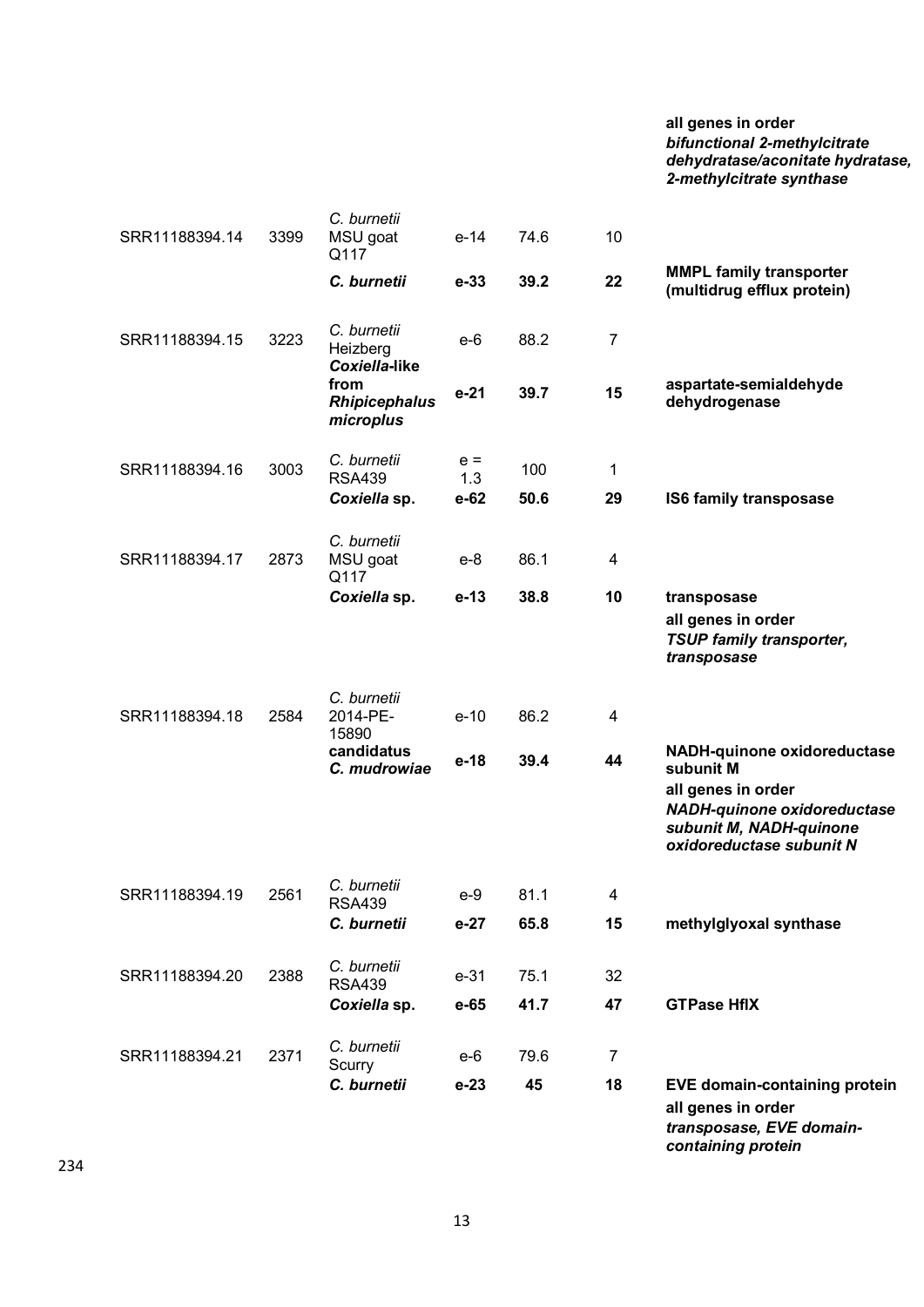## **all genes in order** *bifunctional 2-methylcitrate dehydratase/aconitate hydratase, 2-methylcitrate synthase*

| SRR11188394.14 | 3399 | C. burnetii<br>MSU goat<br>Q117           | $e-14$       | 74.6 | 10             |                                                                                                                                                             |
|----------------|------|-------------------------------------------|--------------|------|----------------|-------------------------------------------------------------------------------------------------------------------------------------------------------------|
|                |      | C. burnetii                               | $e-33$       | 39.2 | 22             | <b>MMPL family transporter</b><br>(multidrug efflux protein)                                                                                                |
| SRR11188394.15 | 3223 | C. burnetii<br>Heizberg<br>Coxiella-like  | $e-6$        | 88.2 | $\overline{7}$ |                                                                                                                                                             |
|                |      | from<br><b>Rhipicephalus</b><br>microplus | $e-21$       | 39.7 | 15             | aspartate-semialdehyde<br>dehydrogenase                                                                                                                     |
| SRR11188394.16 | 3003 | C. burnetii<br><b>RSA439</b>              | $e =$<br>1.3 | 100  | 1              |                                                                                                                                                             |
|                |      | Coxiella sp.                              | $e-62$       | 50.6 | 29             | IS6 family transposase                                                                                                                                      |
| SRR11188394.17 | 2873 | C. burnetii<br>MSU goat<br>Q117           | $e-8$        | 86.1 | 4              |                                                                                                                                                             |
|                |      | Coxiella sp.                              | $e-13$       | 38.8 | 10             | transposase<br>all genes in order<br><b>TSUP family transporter,</b><br>transposase                                                                         |
| SRR11188394.18 | 2584 | C. burnetii<br>2014-PE-<br>15890          | $e-10$       | 86.2 | 4              |                                                                                                                                                             |
|                |      | candidatus<br>C. mudrowiae                | e-18         | 39.4 | 44             | NADH-quinone oxidoreductase<br>subunit M<br>all genes in order<br><b>NADH-quinone oxidoreductase</b><br>subunit M, NADH-quinone<br>oxidoreductase subunit N |
| SRR11188394.19 | 2561 | C. burnetii<br><b>RSA439</b>              | $e-9$        | 81.1 | 4              |                                                                                                                                                             |
|                |      | C. burnetii                               | $e-27$       | 65.8 | 15             | methylglyoxal synthase                                                                                                                                      |
| SRR11188394.20 | 2388 | C. burnetii<br><b>RSA439</b>              | $e-31$       | 75.1 | 32             |                                                                                                                                                             |
|                |      | Coxiella sp.                              | e-65         | 41.7 | 47             | <b>GTPase HflX</b>                                                                                                                                          |
| SRR11188394.21 | 2371 | C. burnetii<br>Scurry                     | e-6          | 79.6 | $\overline{7}$ |                                                                                                                                                             |
|                |      | C. burnetii                               | $e-23$       | 45   | 18             | <b>EVE domain-containing protein</b><br>all genes in order<br>transposase, EVE domain-<br>containing protein                                                |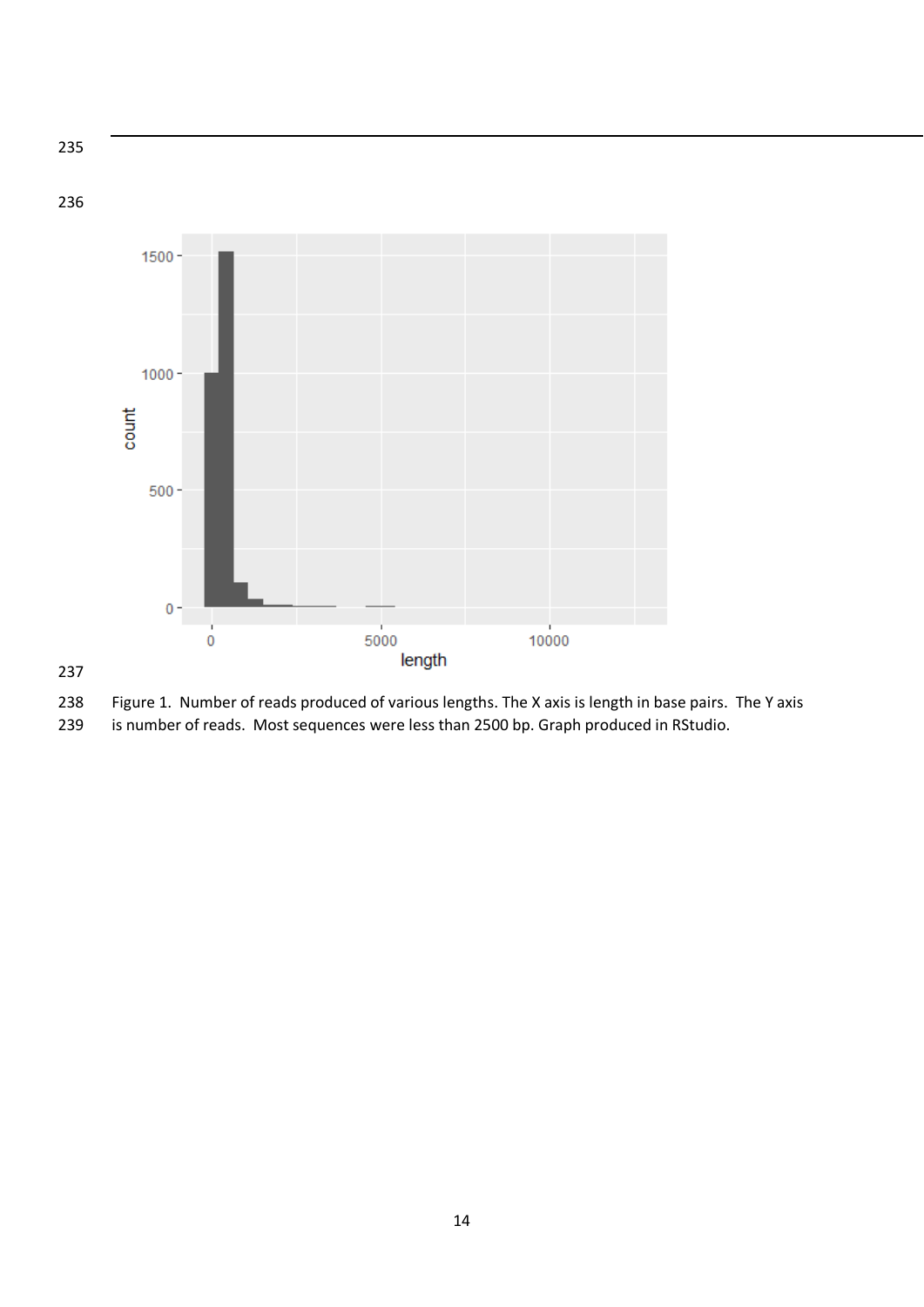235 236 1500  $1000$ count  $500 \theta^{\perp}$  $5000$  $\stackrel{+}{0}$ 

## 237



length

 $10000$ 

239 is number of reads. Most sequences were less than 2500 bp. Graph produced in RStudio.